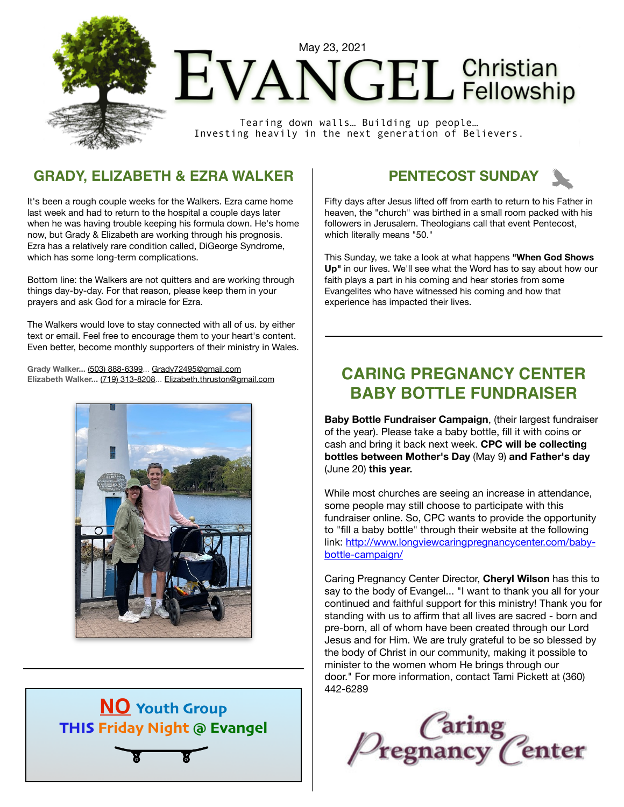

# $ENDGEL$ <sup>Christian</sup>

Tearing down walls… Building up people… Investing heavily in the next generation of Believers.

### **GRADY, ELIZABETH & EZRA WALKER**

It's been a rough couple weeks for the Walkers. Ezra came home last week and had to return to the hospital a couple days later when he was having trouble keeping his formula down. He's home now, but Grady & Elizabeth are working through his prognosis. Ezra has a relatively rare condition called, DiGeorge Syndrome, which has some long-term complications.

Bottom line: the Walkers are not quitters and are working through things day-by-day. For that reason, please keep them in your prayers and ask God for a miracle for Ezra.

The Walkers would love to stay connected with all of us. by either text or email. Feel free to encourage them to your heart's content. Even better, become monthly supporters of their ministry in Wales.

**Grady Walker...** [\(503\) 888-6399](tel:(503)%20888-6399)... [Grady72495@gmail.com](mailto:Grady72495@gmail.com) **Elizabeth Walker...** [\(719\) 313-8208](tel:(719)%20313-8208)... [Elizabeth.thruston@gmail.com](mailto:Elizabeth.thruston@gmail.com)







Fifty days after Jesus lifted off from earth to return to his Father in heaven, the "church" was birthed in a small room packed with his followers in Jerusalem. Theologians call that event Pentecost, which literally means "50."

This Sunday, we take a look at what happens **"When God Shows Up"** in our lives. We'll see what the Word has to say about how our faith plays a part in his coming and hear stories from some Evangelites who have witnessed his coming and how that experience has impacted their lives.

## **CARING PREGNANCY CENTER BABY BOTTLE FUNDRAISER**

**Baby Bottle Fundraiser Campaign**, (their largest fundraiser of the year). Please take a baby bottle, fill it with coins or cash and bring it back next week. **CPC will be collecting bottles between Mother's Day** (May 9) **and Father's day** (June 20) **this year.**

While most churches are seeing an increase in attendance, some people may still choose to participate with this fundraiser online. So, CPC wants to provide the opportunity to "fill a baby bottle" through their website at the following link: [http://www.longviewcaringpregnancycenter.com/baby](https://na01.safelinks.protection.outlook.com/?url=https%3A%2F%2Fevangel-online.us11.list-manage.com%2Ftrack%2Fclick%3Fu%3Dbe23f5a92a86bd035aafe2bbb%26id%3D6f420e810f%26e%3D6a6d7e311e&data=04%7C01%7C%7Cf752638b3abd409afce008d911e527df%7C84df9e7fe9f640afb435aaaaaaaaaaaa%7C1%7C0%7C637560498178450100%7CUnknown%7CTWFpbGZsb3d8eyJWIjoiMC4wLjAwMDAiLCJQIjoiV2luMzIiLCJBTiI6Ik1haWwiLCJXVCI6Mn0%3D%7C1000&sdata=99rOd1VA5fSiJaICtFNaxfLO6bf2UuaY8l%2FPTNtukeM%3D&reserved=0)[bottle-campaign/](https://na01.safelinks.protection.outlook.com/?url=https%3A%2F%2Fevangel-online.us11.list-manage.com%2Ftrack%2Fclick%3Fu%3Dbe23f5a92a86bd035aafe2bbb%26id%3D6f420e810f%26e%3D6a6d7e311e&data=04%7C01%7C%7Cf752638b3abd409afce008d911e527df%7C84df9e7fe9f640afb435aaaaaaaaaaaa%7C1%7C0%7C637560498178450100%7CUnknown%7CTWFpbGZsb3d8eyJWIjoiMC4wLjAwMDAiLCJQIjoiV2luMzIiLCJBTiI6Ik1haWwiLCJXVCI6Mn0%3D%7C1000&sdata=99rOd1VA5fSiJaICtFNaxfLO6bf2UuaY8l%2FPTNtukeM%3D&reserved=0)

Caring Pregnancy Center Director, **Cheryl Wilson** has this to say to the body of Evangel... "I want to thank you all for your continued and faithful support for this ministry! Thank you for standing with us to affirm that all lives are sacred - born and pre-born, all of whom have been created through our Lord Jesus and for Him. We are truly grateful to be so blessed by the body of Christ in our community, making it possible to minister to the women whom He brings through our door." For more information, contact Tami Pickett at (360) 442-6289